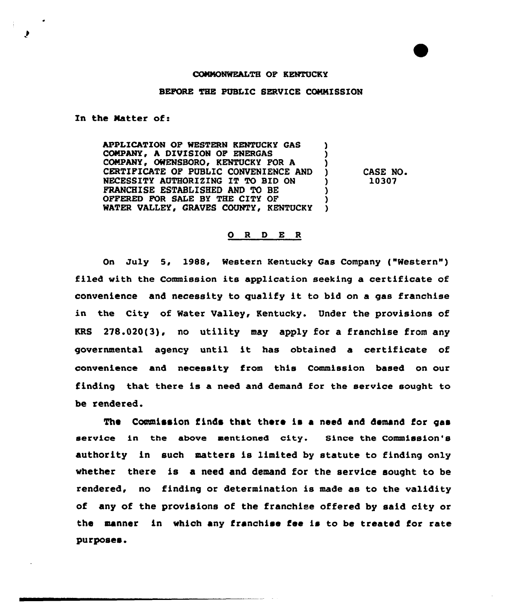## COMMONWEALTH OF KENTUCKY

## BEFORE THE PUBLIC SERVICE CCNNISSION

In the Natter of:

♪

APPLICATION OF WESTERN KENTUCKY GAS COMPANY, A DIVISION OF ENERGAS COMPANY, OWENSBORO, KENTUCKY FOR A CERTIFICATE OF PUBLIC CONVENIENCE AND ) NECESSITY AUTHORIZING IT TO BID ON FRANCHISE ESTABLISHED AND TO BE OPFERED FOR SALE BY THE CITY OF (1) WATER VALLEY, GRAVES COUNTY, KENTUCKY

CASE NO. 10307

## 0 <sup>R</sup> <sup>D</sup> E <sup>R</sup>

On July 5, l988, Western Kentucky Gas Company ("Western" ) filed with the Commission its application seeking a certificate of convenience and necessity to gualify it to bid on <sup>a</sup> gas franchise in the City of Water Valley, Kentucky. Under the provisions of KRS 278.020(3), no utility may apply for a franchise from any governmental agency until it has obtained <sup>a</sup> certificate of convenience and necessity from this Commission based on our finding that there is a need and demand for the service sought to be rendered.

The Commission finds that there is a need and demand for gas service in the above mentioned city. Since the Commission's authority in such matters is limited by statute to finding only whether there is a need and demand for the service sought to be rendered, no finding or determination is made as to the validity of any of the provisions of the franchise offered by said city or the manner in which any franchise fee is to be treated for rate purposes.